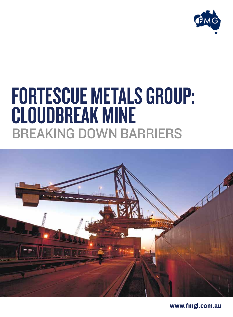

## FORTESCUE METALS GROUP: Cloudbreak mine Breaking down barriers



www.fmgl.com.au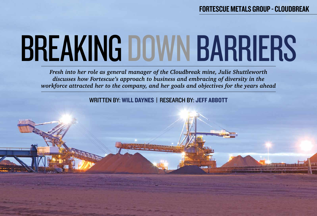# Breaking down barriers

*Fresh into her role as general manager of the Cloudbreak mine, Julie Shuttleworth discusses how Fortescue's approach to business and embracing of diversity in the workforce attracted her to the company, and her goals and objectives for the years ahead*

WRITTEN BY: WILL DAYNES | RESEARCH BY: JEFF ABBOTT

## Fortescue Metals Group - Cloudbreak



<u>emmento difficilis</u>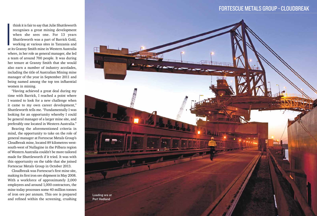**I**<br>I<br>I<br>I<br>I<br>I think it is fair to say that Julie Shuttleworth recognises a great mining development when she sees one. For 13 years Shuttleworth was a part of Barrick Gold, working at various sites in Tanzania and at its Granny Smith mine in Western Australia where, in her role as general manager, she led a team of around 700 people. It was during her tenure at Granny Smith that she would also earn a number of industry accolades, including the title of Australian Mining mine manager of the year in September 2011 and being named among the top ten influential women in mining.

"Having achieved a great deal during my time with Barrick, I reached a point where I wanted to look for a new challenge when it came to my own career development," Shuttleworth tells me. "Fundamentally I was looking for an opportunity whereby I could be general manager of a larger mine site, and preferably one located in Western Australia."

Bearing the aforementioned criteria in mind, the opportunity to take on the role of general manager at Fortescue Metals Group's Cloudbreak mine, located 89 kilometres westsouth-west of Nullagine in the Pilbara region of Western Australia couldn't be more tailored made for Shuttleworth if it tried. It was with this opportunity on the table that she joined Fortescue Metals Group in October 2013.

Cloudbreak was Fortescue's first mine site, making its first iron ore shipment in May 2008. With a workforce of approximately 2,000 employees and around 1,000 contractors, the mine today processes some 40 million tonnes of iron ore per annum. This ore is prepared and refined within the screening, crushing

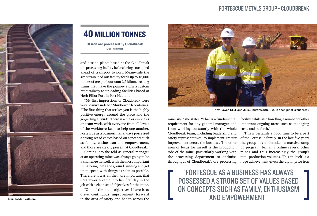"Fortescue as a business has always possessed a strong set of values based on concepts such as family, enthusiasm and empowerment"

mine site," she states. "That is a fundamental requirement for any general manager and I am working constantly with the whole Cloudbreak team, including leadership and safety representatives, to implement greater improvement across the business. The other area of focus for myself is the production side of the mine, particularly working with the processing department to optimise throughput of Cloudbreak's ore processing

facility, while also handling a number of other important ongoing areas such as managing costs and so forth."

This is certainly a good time to be a part of the Fortescue family. In the last five years the group has undertaken a massive ramp up program, bringing online several other mines and thus increasingly the group's total production volumes. This in itself is a huge achievement given the dip in price iron

"One of the main objectives I have is to drive continuous improvement forward Train loaded with ore in the area of safety and health across the



and desand plants based at the Cloudbreak ore processing facility before being stockpiled ahead of transport to port. Meanwhile the site's train load out facility feeds up to 16,000 tonnes of ore per hour onto 2.7 kilometre long trains that make the journey along a custom built railway to unloading facilities based at Herb Elliot Port in Port Hedland.

"My first impressions of Cloudbreak were very positive indeed," Shuttleworth continues. "The first thing that strikes you is the highly positive energy around the place and the go-getting attitude. There is a major emphasis on team work, with everyone from all levels of the workforce keen to help one another. Fortescue as a business has always possessed a strong set of values based on concepts such as family, enthusiasm and empowerment, and those are clearly present at Cloudbreak."

Coming into the fold as general manager at an operating mine was always going to be a challenge in itself, with the most important thing being to hit the ground running and get up to speed with things as soon as possible. Therefore it was all the more important that Shuttleworth came into her first day in the job with a clear set of objectives for the mine.

Nev Power, CEO, and Julie Shuttleworth, GM, in open pit at Cloudbreak

## Fortescue Metals Group - Cloudbreak



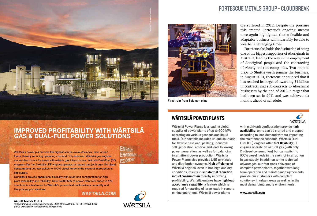

# **IMPROVED PROFITABILITY WITH WÄRTSILÄ<br>GAS & DUAL-FUEL POWER SOLUTIONS**

Wärtsilä's power plants have the highest simple cycle efficiency, even at part loads, thereby reducing operating cost and CO<sub>2</sub> emission. Wärtsilä gas engines are an ideal choice for areas with reliable gas infrastructure. Wärtsilä Dual-Fuel (DF) engines offer fuel flexibility; DF engines operate on natural gas (with only 1% diesel consumption) but can switch to 100% diesel mode in the event of interruption in gas supply.

Our plants provide operational flexibility with multi-unit configuration for high plant availability and reliability. Over 54000 MW of power plant references in 170 countries is a testament to Wärtsilä's proven fast track delivery capability and lifecycle support services.

#### **WARTSILA.COM**



**FCONOM** 

#### Fortescue Metals Group - Cloudbreak

ore suffered in 2012. Despite the pressure this created Fortescue's ongoing success once again highlighted that a flexible and adaptable business will invariably be able to weather challenging times. 2012. Despite the pressure<br>ortescue's ongoing success<br>hlighted that a flexible and<br>ess will invariably be able to<br>uging times.

Fortescue also holds the distinction of being one of the biggest supporters of Aboriginals in Australia, leading the way in the employment of Aboriginal people and the contracting of Aboriginal run companies. Two months prior to Shuttleworth joining the business,  $\frac{1}{2}$  in August 2013, Fortescue announced that it has reached its target of awarding \$1 billion in contracts and sub contracts to Aboriginal businesses by the end of 2013, a target that had been set in 2011 and was achieved six months ahead of schedule. Fortescue also holds the distinction of being<br>one of the biggest supporters of Aboriginals in<br>Australia, leading the way in the employment<br>of Aboriginal people and the contracting<br>of Aboriginal run companies. Two months<br>pr

WÄRTSILÄ

with multi-unit configuration provide high availability; units can be started and stopped according to load demand without impacting the maintenance schedule. Wärtsilä Dual-Fuel (DF) engines offer fuel flexibility; DF engines operate on natural gas (with only 1% diesel consumption) but can switch to 100% diesel mode in the event of interruption in gas supply. In addition to the technical advantages, our fast track deliveries of complete power plants, together with longterm operation and maintenance agreements, provide our customers with complete solutions– in urban areas as well as in the most demanding remote environments.

Wärtsilä Power Plants is a leading global supplier of power plants of up to 600 MW operating on various gaseous and liquid fuels. Our portfolio includes unique solutions for flexible baseload, peaking, industrial self-generation, reserve and load-following power generation, as well as for balancing intermittent power production. Wärtsilä Power Plants also provides LNG terminals and distribution systems. High efficiency of Wärtsilä engines, even in hot, high and dry conditions, results in substantial reduction in fuel consumption thereby improving profitability. Wärtsilä engines have high load acceptance capability, a feature which is required for starting of large loads in remote mining operations. Wärtsilä power plants

#### Wärtsilä Australia Pty Ltd

48 Huntingwood Drive, Huntingwood, NSW 2148 Australia, Tel. +61 2 9672 8200 Email: wartsilapowerplants.wau@wartsila.com

#### www.wartsila.com

## WÄRTSILÄ POWER PLANTS



**First train from Solomon mine**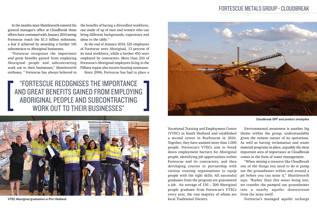In the months since Shuttleworth entered the general manager's office at Cloudbreak these efforts have continued with January 2014 seeing Fortescue reach the \$1.5 billion milestone, a feat it achieved by awarding a further 145 subcontracts to Aboriginal businesses.

"Fortescue recognises the importance and great benefits gained from employing Aboriginal people and subcontracting work out to their businesses," Shuttleworth enthuses, " Fortescue has always believed in

> Vocational Training and Employment Centre (VTEC) in South Hedland and established a second centre in Roebourne in 2010. Together, they have assisted more than 1,000 people. Fortescue's VTECs aim to break down employment barriers for Aboriginal people, identifying job opportunities within Fortescue and its contractors, and then developing courses in partnership with various training organisations to equip people with the right skills. All successful graduates from the program are guaranteed a job. An average of 150 – 200 Aboriginal people graduate from Fortescue's VTECs every year, the vast majority of whom are local Traditional Owners.

the benefits of having a diversified workforce, one made of up of men and women who can bring different backgrounds, experience and ideas to the table."

At the end of January 2014, 525 employees of Fortescue were Aboriginal, 13 percent of its total workforce, while a further 450 were employed by contractors. More than 250 of Fortescue's Aboriginal employees living in the Pilbara region also receive housing assistance. Since 2006, Fortescue has had in place a

"Fortescue recognises the importance and great benefits gained from employing Aboriginal people and subcontracting WORK OUT TO THEIR BUSINESSES"

> Environmental awareness is another big theme within the group, understandably given the remote nature of its operations. As well as having reclamation and waste material programs in place, arguably the most important area of importance at Cloudbreak comes in the form of water management.

> "When mining a resource like Cloudbreak one of the things you need to do is pump out the groundwater within and around a pit before you can mine it," Shuttleworth says. "Rather than this water being lost, we transfer the pumped out groundwater into a nearby aquifer downstream from the mine itself.

Fortescue's managed aquifer recharge

Cloudbreak OPF and product stockpiles



VTEC Aboriginal graduation in Port Hedland



## Fortescue Metals Group - Cloudbreak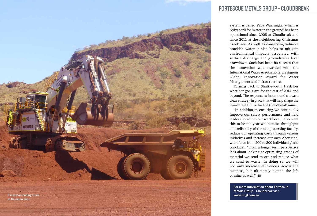system is called Papa Warringka, which is Nyiyaparli for 'water in the ground' has been operational since 2008 at Cloudbreak and since 2011 at the neighbouring Christmas Creek site. As well as conserving valuable brackish water it also helps to mitigate environmental impacts associated with surface discharge and groundwater level drawdown. Such has been its success that the innovation was awarded with the International Water Association's prestigious Global Innovation Award for Water Management and Infrastructure.

of mine as well."  $B =$ 

Turning back to Shuttleworth, I ask her what her goals are for the rest of 2014 and beyond. The response is instant and shows a clear strategy in place that will help shape the immediate future for the Cloudbreak mine.

"In addition to ensuring we continually improve our safety performance and field leadership within our workforce, I also want this to be the year we increase throughput and reliability of the ore processing facility, reduce our operating costs through various initiatives and increase our own Aboriginal work force from 200 to 300 individuals," she concludes. "From a longer term perspective it is about looking at optimising grades of material we send to ore and reduce what we send to waste. In doing so we will not only increase efficiencies across the business, but ultimately extend the life



www.fmgl.com.au